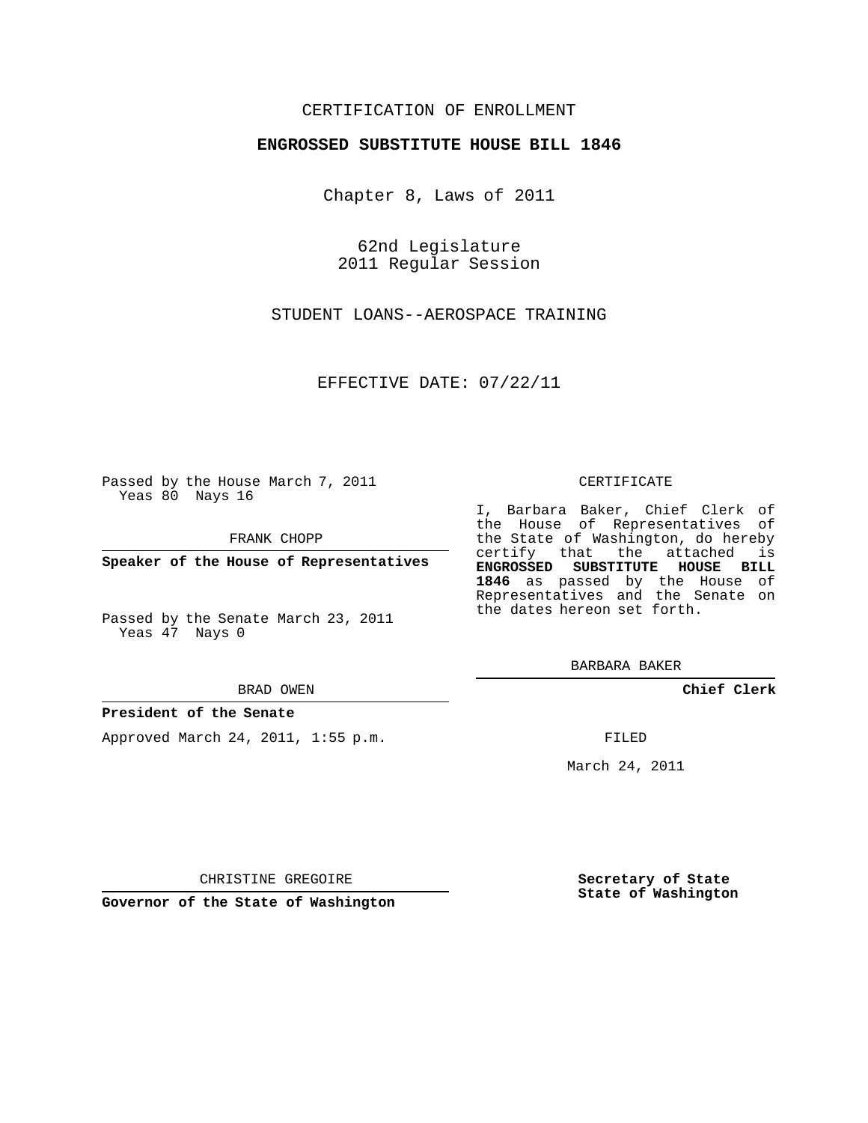# CERTIFICATION OF ENROLLMENT

## **ENGROSSED SUBSTITUTE HOUSE BILL 1846**

Chapter 8, Laws of 2011

62nd Legislature 2011 Regular Session

STUDENT LOANS--AEROSPACE TRAINING

EFFECTIVE DATE: 07/22/11

Passed by the House March 7, 2011 Yeas 80 Nays 16

FRANK CHOPP

**Speaker of the House of Representatives**

Passed by the Senate March 23, 2011 Yeas 47 Nays 0

#### BRAD OWEN

### **President of the Senate**

Approved March 24, 2011, 1:55 p.m.

#### CERTIFICATE

I, Barbara Baker, Chief Clerk of the House of Representatives of the State of Washington, do hereby certify that the attached is **ENGROSSED SUBSTITUTE HOUSE BILL 1846** as passed by the House of Representatives and the Senate on the dates hereon set forth.

BARBARA BAKER

**Chief Clerk**

FILED

March 24, 2011

CHRISTINE GREGOIRE

**Governor of the State of Washington**

**Secretary of State State of Washington**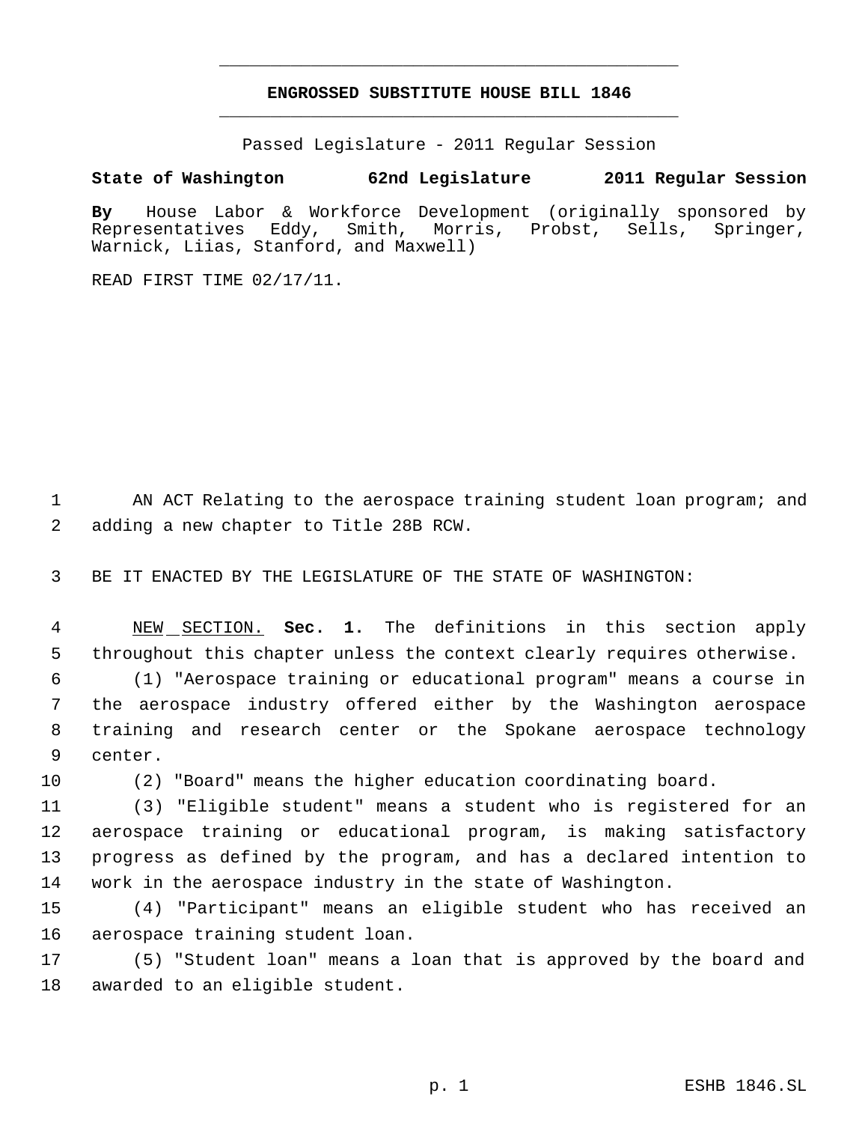# **ENGROSSED SUBSTITUTE HOUSE BILL 1846** \_\_\_\_\_\_\_\_\_\_\_\_\_\_\_\_\_\_\_\_\_\_\_\_\_\_\_\_\_\_\_\_\_\_\_\_\_\_\_\_\_\_\_\_\_

\_\_\_\_\_\_\_\_\_\_\_\_\_\_\_\_\_\_\_\_\_\_\_\_\_\_\_\_\_\_\_\_\_\_\_\_\_\_\_\_\_\_\_\_\_

Passed Legislature - 2011 Regular Session

**State of Washington 62nd Legislature 2011 Regular Session**

**By** House Labor & Workforce Development (originally sponsored by Representatives Eddy, Smith, Morris, Probst, Sells, Springer, Warnick, Liias, Stanford, and Maxwell)

READ FIRST TIME 02/17/11.

1 AN ACT Relating to the aerospace training student loan program; and adding a new chapter to Title 28B RCW.

BE IT ENACTED BY THE LEGISLATURE OF THE STATE OF WASHINGTON:

 NEW SECTION. **Sec. 1.** The definitions in this section apply throughout this chapter unless the context clearly requires otherwise.

 (1) "Aerospace training or educational program" means a course in the aerospace industry offered either by the Washington aerospace training and research center or the Spokane aerospace technology center.

(2) "Board" means the higher education coordinating board.

 (3) "Eligible student" means a student who is registered for an aerospace training or educational program, is making satisfactory progress as defined by the program, and has a declared intention to work in the aerospace industry in the state of Washington.

 (4) "Participant" means an eligible student who has received an aerospace training student loan.

 (5) "Student loan" means a loan that is approved by the board and awarded to an eligible student.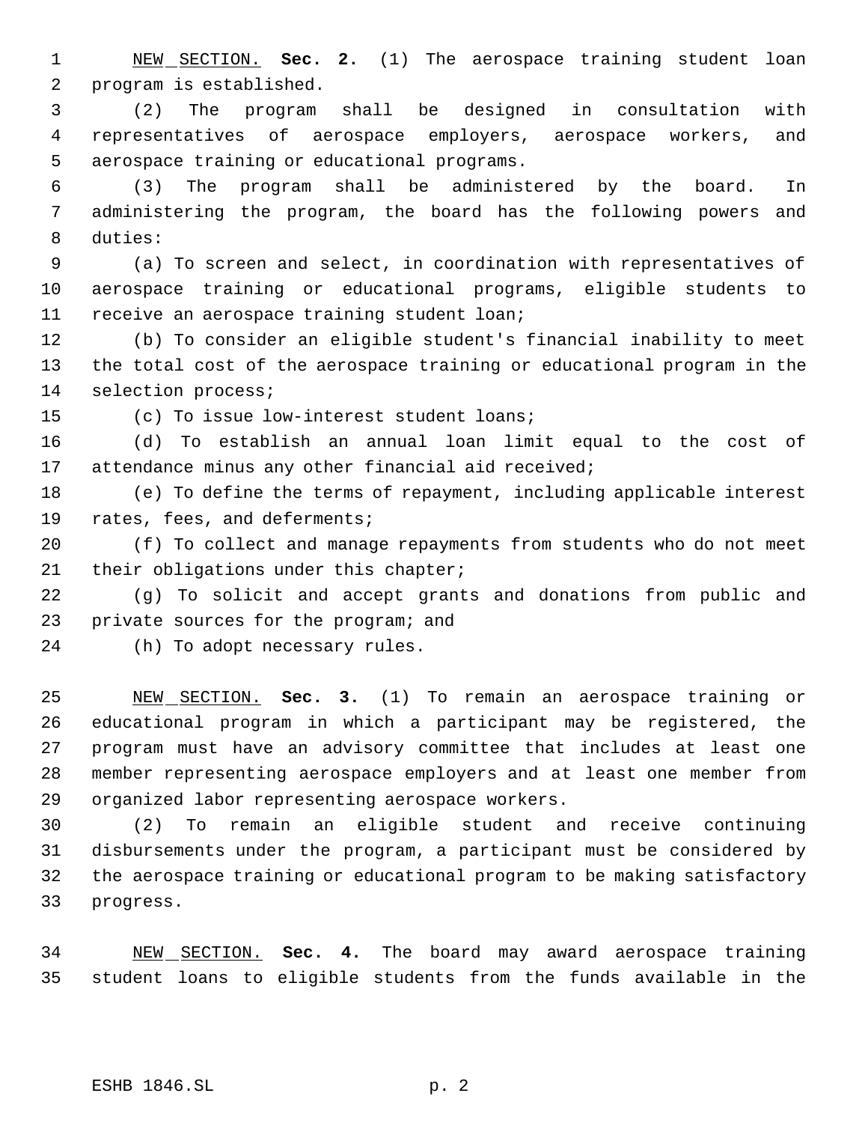NEW SECTION. **Sec. 2.** (1) The aerospace training student loan program is established.

 (2) The program shall be designed in consultation with representatives of aerospace employers, aerospace workers, and aerospace training or educational programs.

 (3) The program shall be administered by the board. In administering the program, the board has the following powers and duties:

 (a) To screen and select, in coordination with representatives of aerospace training or educational programs, eligible students to receive an aerospace training student loan;

 (b) To consider an eligible student's financial inability to meet the total cost of the aerospace training or educational program in the selection process;

(c) To issue low-interest student loans;

 (d) To establish an annual loan limit equal to the cost of attendance minus any other financial aid received;

 (e) To define the terms of repayment, including applicable interest rates, fees, and deferments;

 (f) To collect and manage repayments from students who do not meet their obligations under this chapter;

 (g) To solicit and accept grants and donations from public and private sources for the program; and

(h) To adopt necessary rules.

 NEW SECTION. **Sec. 3.** (1) To remain an aerospace training or educational program in which a participant may be registered, the program must have an advisory committee that includes at least one member representing aerospace employers and at least one member from organized labor representing aerospace workers.

 (2) To remain an eligible student and receive continuing disbursements under the program, a participant must be considered by the aerospace training or educational program to be making satisfactory progress.

 NEW SECTION. **Sec. 4.** The board may award aerospace training student loans to eligible students from the funds available in the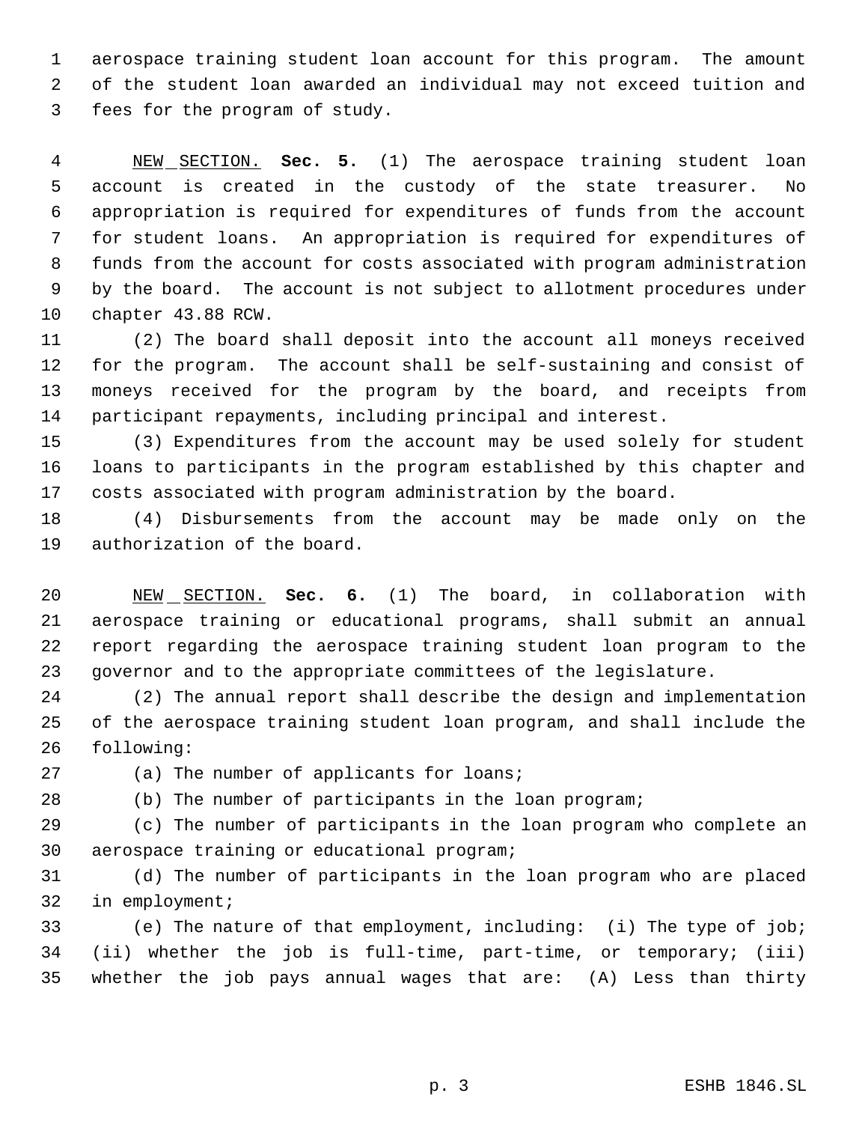aerospace training student loan account for this program. The amount of the student loan awarded an individual may not exceed tuition and fees for the program of study.

 NEW SECTION. **Sec. 5.** (1) The aerospace training student loan account is created in the custody of the state treasurer. No appropriation is required for expenditures of funds from the account for student loans. An appropriation is required for expenditures of funds from the account for costs associated with program administration by the board. The account is not subject to allotment procedures under chapter 43.88 RCW.

 (2) The board shall deposit into the account all moneys received for the program. The account shall be self-sustaining and consist of moneys received for the program by the board, and receipts from participant repayments, including principal and interest.

 (3) Expenditures from the account may be used solely for student loans to participants in the program established by this chapter and costs associated with program administration by the board.

 (4) Disbursements from the account may be made only on the authorization of the board.

 NEW SECTION. **Sec. 6.** (1) The board, in collaboration with aerospace training or educational programs, shall submit an annual report regarding the aerospace training student loan program to the governor and to the appropriate committees of the legislature.

 (2) The annual report shall describe the design and implementation of the aerospace training student loan program, and shall include the following:

27 (a) The number of applicants for loans;

(b) The number of participants in the loan program;

 (c) The number of participants in the loan program who complete an aerospace training or educational program;

 (d) The number of participants in the loan program who are placed in employment;

 (e) The nature of that employment, including: (i) The type of job; (ii) whether the job is full-time, part-time, or temporary; (iii) whether the job pays annual wages that are: (A) Less than thirty